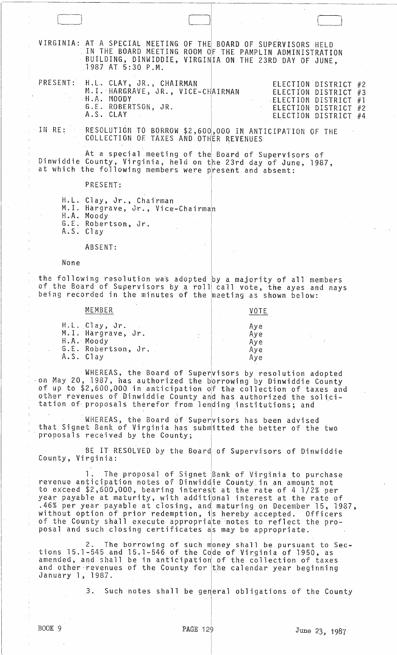VIRGINIA: AT A SPECIAL MEETING OF THE BOARD OF SUPERVISORS HELD<br>IN THE BOARD MEETING ROOM OF THE PAMPLIN ADMINISTRATION<br>BUILDING, DINWIDDIE, VIRGINIA ON THE 23RD DAY OF JUNE, 1987 AT 5:30 P.M. H.L. CLAY, JR., CHAIRMAN<br>M.I. HARGRAVE, JR., VICE-CHAIRMAN PRESENT: ELECTION DISTRICT #2 ELECTION DISTRICT #3<br>ELECTION DISTRICT #1 H.A. MOODY ELECTION DISTRICT #2 G.E. ROBERTSON, JR. A.S. CLAY ELECTION DISTRICT #4 RESCLUTION TO BORROW \$2,600,000 IN ANTICIPATION OF THE COLLECTION OF TAXES AND OTHER REVENUES IN RE: At a special meeting of the Board of Supervisors of Dinwiddie County, Virginia, held on the 23rd day of June, 1987,<br>at which the following members were present and absent: PRESENT: H.L. Clay, Jr., Chairman<br>M.I. Hargrave, Jr., Vice-Chairman H.A. Moody G.E. Robertson, Jr.<br>A.S. Clay ABSENT: None the following resolution was adopted by a majority of all members of the Board of Supervisors by a roll call vote, the ayes and nays<br>being recorded in the minutes of the meeting as shown below: MEMBER VOTE H.L. Clay, Jr.<br>M.I. Hargrave, Jr. Aye Aye H.A. Moody<br>G.E. Robertson, Jr. Aye Aye A.S. Clay Aye WHEREAS, the Board of Supervisors by resolution adopted on May 20, 1987, has authorized the borrowing by Dinwiddie County<br>of up to \$2,600,000 in anticipation of the collection of taxes and<br>other revenues of Dinwiddie County and has authorized the solici-<br>tation of proposals the WHEREAS, the Board of Supervisors has been advised<br>that Signet Bank of Virginia has submitted the better of the two proposals received by the County; BE IT RESOLVED by the Board of Supervisors of Dinwiddie County, Virginia: The proposal of Signet Bank of Virginia to purchase  $1$ . revenue anticipation notes of Dinwiddie County in an amount not

to exceed \$2,600,000, bearing interest at the rate of 4 1/2% per<br>year payable at maturity, with additional interest at the rate of<br>.46% per year payable at closing, and maturing on December 15, 1987, without option of prior redemption, is hereby accepted. Officers<br>of the County shall execute appropriate notes to reflect the proposal and such closing certificates as may be appropriate.

2. The borrowing of such money shall be pursuant to Sec-<br>tions 15.1-545 and 15.1-546 of the Code of Virginia of 1950, as amended, and shall be in anticipation of the collection of taxes<br>and other revenues of the County for the calendar year beginning January 1, 1987.

> $3.$ Such notes shall be general obligations of the County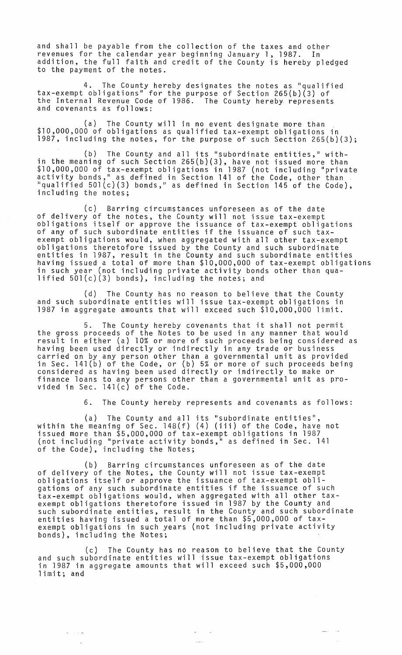and shall be payable from the collection of the taxes and other revenues for the calendar year beginning January 1, 1987. In addition, the full faith and credit of the County is hereby pledged to the payment of the notes.

4. The County hereby designates the notes as "qualified tax-exempt obligations " for the purpose of Section 265(b}(3} of the Internal Revenue Code of 1986. The County hereby represents and covenants as follows:

(a) The County will in no event designate more than \$10,000,000 of obligations as qualified tax-exempt obligations in 1987, including the notes, for the purpose of such Section 265(b)(3);

(b) The County and all its "subordinate entities," within the meaning of such Section 265(b}(3}, have not issued more than \$10,000,000 of tax-exempt obligations in 1987 (not including "private activity bonds," as defined in Section 141 of the Code, other than "qualified 501(c)(3) bonds," as defined in Section 145 of the Code), including the notes;

(c) Barring circumstances unforeseen as of the date of delivery of the notes, the County will not issue tax-exempt obligations itself or approve the issuance of tax-exempt obligations of any of such subordinate entities if the issuance of such taxexempt obligations would, when aggregated with all other tax-exempt obligations theretofore issued by the County and such subordinate entities in 1987, result in the County and such subordinate entities having issued a total of more than \$10,000,000 of tax-exempt obligations in such year (not including private activity bonds other than qualified 50l(c)(3) bonds}, including the notes; and

(d) The County has no reason to believe that the County and such subordinate entities will issue tax-exempt obligations in 1987 in aggregate amounts that will exceed such \$10,000,000 limit.

5. The County hereby covenants that it shall not permit the gross proceeds of the Notes to be used in any manner that would result in either Cal 10% or more of such proceeds being considered as having been used directly or indirectly in any trade or business carried on by any person other than a governmental unit as provided in Sec. 141(b) of the Code, or (b) 5% or more of such proceeds being considered as having been used directly or indirectly to make or finance loans to any persons other than a governmental unit as provided in Sec.  $141(c)$  of the Code.

6. The County hereby represents and covenants as follows:

(a) The County and all its "subordinate entities",<br>within the meaning of Sec. 148(f) (4) (iii) of the Code, have not issued more than \$5,000,000 of tax-exempt obligations in 1987 (not including "private activity bonds," as defined in Sec. 141 of the Code), including the Notes;

(b) Barring circumstances unforeseen as of the date of delivery of the Notes, the County will not issue tax-exempt obligations itself or approve the issuance of tax-exempt obligations of any such subordinate entities if the issuance of such tax-exempt obligations would, when aggregated with all other taxexempt obligations theretofore issued in 1987 by the County and such subordinate entities, result in the County and such subordinate entities having issued a total of more than \$5,000,000 of taxexempt obligations in such years (not including private activity bonds), including the Notes;

(c) The County has no reason to believe that the County and such subordinate entities will issue tax-exempt obligations in 1987 in aggregate amounts that will exceed such \$5,000,000 limit; and

> $\sim$  $\sim$

 $\omega_{\rm c}$  ,  $\omega_{\rm c}$  ,  $\omega_{\rm c}$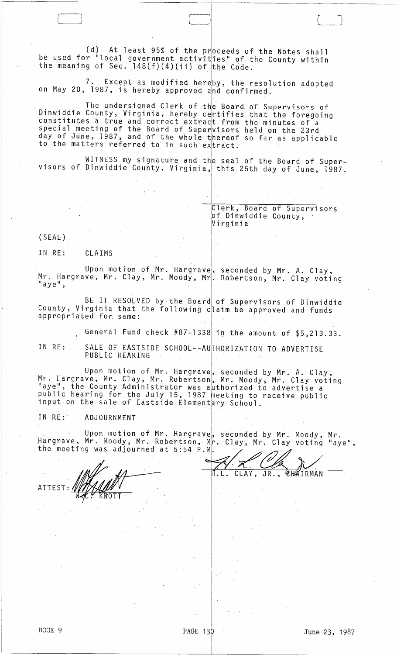(d) At least 95% of the  $pr\overline{0}$  ceeds of the Notes shall be used for "local government activities" of the County within the meaning of Sec.  $148(f)(4)(ii)$  of the Code.

7. Except as modified hereby, the resolution adopted<br>on May 20, 1987, is hereby approved and confirmed.

The undersigned Clerk of the Board of Supervisors of Dinwiddie County, Virginia, hereby certifies that the foregoing constitutes a true and correct extract from the minutes of a special meeting of the Board of Supervisors held on the 23rd day of June, 1987, and of the whole thereof so far as applicable ady of band, 1987, and of the whole thereof

WITNESS my signature and the seal of the Board of Supervisors of Dinwiddie County, Virginia, this 25th day of June, 1987.

I

I

 $\begin{bmatrix} 1 & 0 & 0 & 0 & 0 & 0 & 0 \\ 0 & 0 & 0 & 0 & 0 & 0 & 0 \\ 0 & 0 & 0 & 0 & 0 & 0 & 0 \\ 0 & 0 & 0 & 0 & 0 & 0 & 0 \\ 0 & 0 & 0 & 0 & 0 & 0 & 0 \\ 0 & 0 & 0 & 0 & 0 & 0 & 0 \\ 0 & 0 & 0 & 0 & 0 & 0 & 0 \\ 0 & 0 & 0 & 0 & 0 & 0 & 0 & 0 \\ 0 & 0 & 0 & 0 & 0 & 0 & 0 & 0 \\ 0 & 0 & 0 & 0 & 0 & 0 &$ 

Flerk, Board of Supervisors *pf* Dinwiddie County, IVi rg in i a

 $\vert$ 

 $(SEAL)$ 

IN RE: CLAIMS

Upon motion of Mr. Hargrave, seconded by Mr. A. Clay, Mr. Hargrave, Mr; Clay, Mr. Moody, Mrl. Robertson, Mr. Clay voting " $\alpha$ ye",  $\alpha$ ",  $\beta$ ",  $\beta$ ",  $\beta$ ",  $\beta$ ",  $\beta$ ",  $\beta$ ",  $\beta$ ",  $\beta$ ",  $\beta$ ",  $\beta$ ",  $\beta$ ",  $\beta$ ",  $\beta$ ",  $\beta$ ",  $\beta$ ",  $\beta$ ",  $\beta$ ",  $\beta$ ",  $\beta$ ",  $\beta$ ",  $\beta$ ",  $\beta$ ",  $\beta$ ",  $\beta$ ",  $\beta$ ",  $\beta$ ",  $\beta$ ",  $\beta$ ",  $\beta$ ",

BE IT RESOLVED by the Board of Supervisors of Dinwiddie County, Virginia that the following Cjlaim be approved and funds appropriated for same:

General Fund check  $#87-1338$  in the amount of  $$5,213.33$ .

IN RE: SALE OF EASTSIDE SCHOOL--AUTHORIZATION TO ADVERTISE<br>PUBLIC HEARING

Upon motion of Mr. Hargrave, seconded by Mr. A. Clay, Mr. Hargrave, Mr. Clay, Mr. Robertson, Mr. Moody, Mr. Clay voting "aye", the County Administrator was authorized to advertise a public hearing for the July 15, 1987 meeting to receive public input on the sale of Eastside Elementary School.

IN RE: ADJOURNMENT

Upon motion of Mr. Hargrave, seconded by Mr. Moody, Mr. Hargrave, Mr. Moody, Mr. Robertson, Mr. Clay, Mr. Clay voting "aye",

I

i. I I I I

I I I

ATTEST

the meeting was adjourned at 5:54 P.M.<br>Allen Minister of the set of the set of the set of the set of the set of the set of the set of the set of the set of the set of the set of the set of the set of the set of the set of CLAY, JR., CHAIRMAN